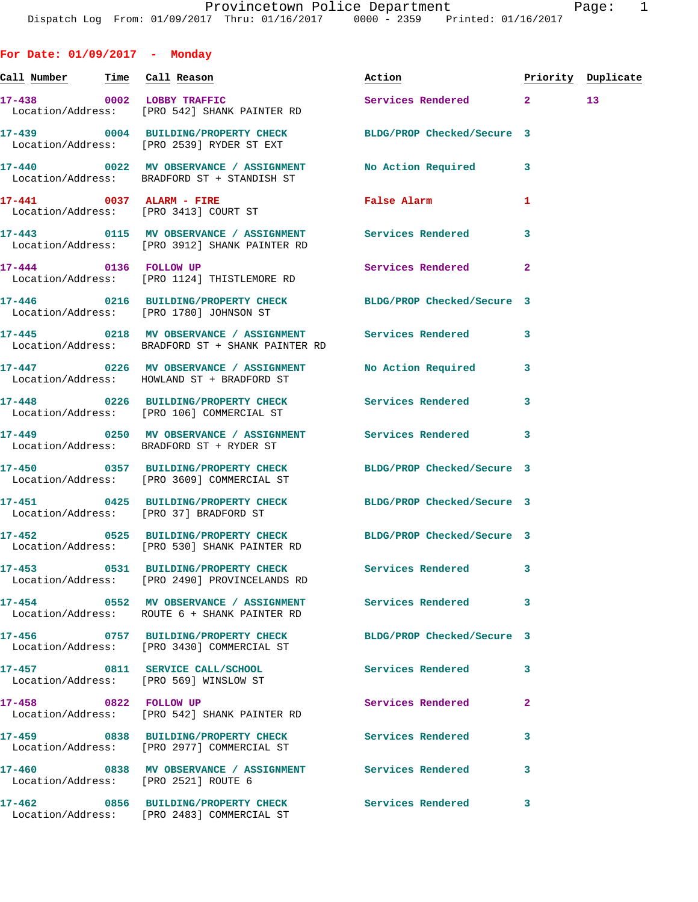**For Date: 01/09/2017 - Monday Call Number Time Call Reason Action Priority Duplicate 17-438 0002 LOBBY TRAFFIC Services Rendered 2 13**  Location/Address: [PRO 542] SHANK PAINTER RD **17-439 0004 BUILDING/PROPERTY CHECK BLDG/PROP Checked/Secure 3**  Location/Address: [PRO 2539] RYDER ST EXT **17-440 0022 MV OBSERVANCE / ASSIGNMENT No Action Required 3**  Location/Address: BRADFORD ST + STANDISH ST **17-441 0037 ALARM - FIRE False Alarm 1**  Location/Address: [PRO 3413] COURT ST **17-443 0115 MV OBSERVANCE / ASSIGNMENT Services Rendered 3**  Location/Address: [PRO 3912] SHANK PAINTER RD **17-444 0136 FOLLOW UP Services Rendered 2**  Location/Address: [PRO 1124] THISTLEMORE RD **17-446 0216 BUILDING/PROPERTY CHECK BLDG/PROP Checked/Secure 3**  Location/Address: [PRO 1780] JOHNSON ST **17-445 0218 MV OBSERVANCE / ASSIGNMENT Services Rendered 3**  Location/Address: BRADFORD ST + SHANK PAINTER RD **17-447 0226 MV OBSERVANCE / ASSIGNMENT No Action Required 3**  Location/Address: HOWLAND ST + BRADFORD ST **17-448 0226 BUILDING/PROPERTY CHECK Services Rendered 3**  Location/Address: [PRO 106] COMMERCIAL ST **17-449 0250 MV OBSERVANCE / ASSIGNMENT Services Rendered 3**  Location/Address: BRADFORD ST + RYDER ST **17-450 0357 BUILDING/PROPERTY CHECK BLDG/PROP Checked/Secure 3**  Location/Address: [PRO 3609] COMMERCIAL ST **17-451 0425 BUILDING/PROPERTY CHECK BLDG/PROP Checked/Secure 3**  Location/Address: [PRO 37] BRADFORD ST **17-452 0525 BUILDING/PROPERTY CHECK BLDG/PROP Checked/Secure 3**  Location/Address: [PRO 530] SHANK PAINTER RD **17-453 0531 BUILDING/PROPERTY CHECK Services Rendered 3**  Location/Address: [PRO 2490] PROVINCELANDS RD **17-454 0552 MV OBSERVANCE / ASSIGNMENT Services Rendered 3**  Location/Address: ROUTE 6 + SHANK PAINTER RD **17-456 0757 BUILDING/PROPERTY CHECK BLDG/PROP Checked/Secure 3**  Location/Address: [PRO 3430] COMMERCIAL ST **17-457 0811 SERVICE CALL/SCHOOL Services Rendered 3**  Location/Address: [PRO 569] WINSLOW ST **17-458 0822 FOLLOW UP Services Rendered 2**  Location/Address: [PRO 542] SHANK PAINTER RD **17-459 0838 BUILDING/PROPERTY CHECK Services Rendered 3**  Location/Address: [PRO 2977] COMMERCIAL ST **17-460 0838 MV OBSERVANCE / ASSIGNMENT Services Rendered 3**  Location/Address: [PRO 2521] ROUTE 6

**17-462 0856 BUILDING/PROPERTY CHECK Services Rendered 3**  Location/Address: [PRO 2483] COMMERCIAL ST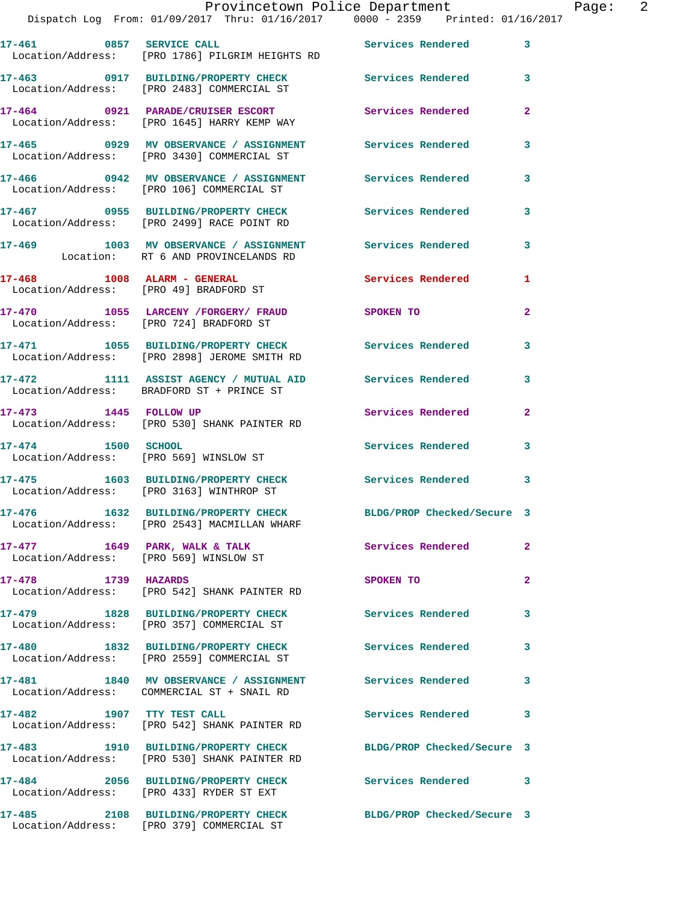|                             | Dispatch Log From: 01/09/2017 Thru: 01/16/2017 0000 - 2359 Printed: 01/16/2017                                 |                          |                |
|-----------------------------|----------------------------------------------------------------------------------------------------------------|--------------------------|----------------|
| 17-461 0857 SERVICE CALL    | Location/Address: [PRO 1786] PILGRIM HEIGHTS RD                                                                | <b>Services Rendered</b> | 3              |
|                             | 17-463 0917 BUILDING/PROPERTY CHECK Services Rendered<br>Location/Address: [PRO 2483] COMMERCIAL ST            |                          | 3              |
|                             | 17-464 0921 PARADE/CRUISER ESCORT<br>Location/Address: [PRO 1645] HARRY KEMP WAY                               | <b>Services Rendered</b> | $\overline{2}$ |
|                             | 17-465  0929 MV OBSERVANCE / ASSIGNMENT  Services Rendered<br>Location/Address: [PRO 3430] COMMERCIAL ST       |                          | 3              |
|                             | 17-466 0942 MV OBSERVANCE / ASSIGNMENT<br>Location/Address: [PRO 106] COMMERCIAL ST                            | <b>Services Rendered</b> | 3              |
|                             | 17-467 0955 BUILDING/PROPERTY CHECK<br>Location/Address: [PRO 2499] RACE POINT RD                              | <b>Services Rendered</b> | 3              |
|                             | 17-469 1003 MV OBSERVANCE / ASSIGNMENT<br>Location: RT 6 AND PROVINCELANDS RD                                  | <b>Services Rendered</b> | 3              |
| 17-468 1008 ALARM - GENERAL | Location/Address: [PRO 49] BRADFORD ST                                                                         | <b>Services Rendered</b> | 1              |
|                             | 17-470 1055 LARCENY / FORGERY / FRAUD SPOKEN TO<br>Location/Address: [PRO 724] BRADFORD ST                     |                          | $\overline{a}$ |
|                             | 17-471 1055 BUILDING/PROPERTY CHECK<br>Location/Address: [PRO 2898] JEROME SMITH RD                            | <b>Services Rendered</b> | 3              |
|                             | 17-472 1111 ASSIST AGENCY / MUTUAL AID Services Rendered<br>Location/Address: BRADFORD ST + PRINCE ST          |                          | 3              |
|                             | 17-473 1445 FOLLOW UP<br>Location/Address: [PRO 530] SHANK PAINTER RD                                          | Services Rendered        | $\mathbf{2}$   |
| 17-474 1500 SCHOOL          | Location/Address: [PRO 569] WINSLOW ST                                                                         | Services Rendered        | 3              |
|                             | 17-475 1603 BUILDING/PROPERTY CHECK<br>Location/Address: [PRO 3163] WINTHROP ST                                | <b>Services Rendered</b> | 3              |
|                             | 17-476 1632 BUILDING/PROPERTY CHECK BLDG/PROP Checked/Secure 3<br>Location/Address: [PRO 2543] MACMILLAN WHARF |                          |                |
|                             | 17-477 1649 PARK, WALK & TALK<br>Location/Address: [PRO 569] WINSLOW ST                                        | Services Rendered        | 2              |
| 17-478 1739 HAZARDS         | Location/Address: [PRO 542] SHANK PAINTER RD                                                                   | SPOKEN TO                | $\overline{a}$ |
|                             | 17-479 1828 BUILDING/PROPERTY CHECK Services Rendered<br>Location/Address: [PRO 357] COMMERCIAL ST             |                          | 3              |
|                             | 17-480 1832 BUILDING/PROPERTY CHECK Services Rendered<br>Location/Address: [PRO 2559] COMMERCIAL ST            |                          | 3              |
|                             | 17-481 1840 MV OBSERVANCE / ASSIGNMENT Services Rendered<br>Location/Address: COMMERCIAL ST + SNAIL RD         |                          | 3              |
| 17-482 1907 TTY TEST CALL   | Location/Address: [PRO 542] SHANK PAINTER RD                                                                   | Services Rendered        | 3              |
|                             | 17-483 1910 BUILDING/PROPERTY CHECK BLDG/PROP Checked/Secure 3<br>Location/Address: [PRO 530] SHANK PAINTER RD |                          |                |
|                             | 17-484 2056 BUILDING/PROPERTY CHECK<br>Location/Address: [PRO 433] RYDER ST EXT                                | <b>Services Rendered</b> | 3              |
| 17-485                      | 2108 BUILDING/PROPERTY CHECK BLDG/PROP Checked/Secure 3                                                        |                          |                |

Location/Address: [PRO 379] COMMERCIAL ST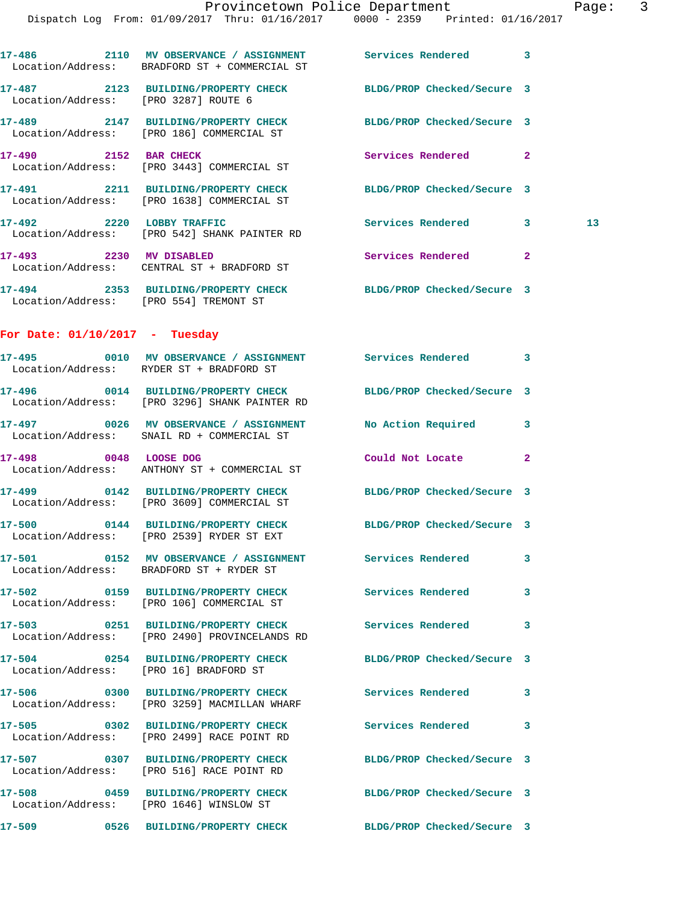Dispatch Log From: 01/09/2017 Thru: 01/16/2017 0000 - 2359 Printed: 01/16/2017

|                                  | 17-486 2110 MV OBSERVANCE / ASSIGNMENT Services Rendered 3<br>Location/Address: BRADFORD ST + COMMERCIAL ST  |                            |                |    |
|----------------------------------|--------------------------------------------------------------------------------------------------------------|----------------------------|----------------|----|
|                                  | 17-487 2123 BUILDING/PROPERTY CHECK BLDG/PROP Checked/Secure 3<br>Location/Address: [PRO 3287] ROUTE 6       |                            |                |    |
|                                  | 17-489 2147 BUILDING/PROPERTY CHECK BLDG/PROP Checked/Secure 3<br>Location/Address: [PRO 186] COMMERCIAL ST  |                            |                |    |
|                                  | 17-490 2152 BAR CHECK<br>Location/Address: [PRO 3443] COMMERCIAL ST                                          | Services Rendered 2        |                |    |
|                                  | 17-491 2211 BUILDING/PROPERTY CHECK<br>Location/Address: [PRO 1638] COMMERCIAL ST                            | BLDG/PROP Checked/Secure 3 |                |    |
|                                  | 17-492 2220 LOBBY TRAFFIC<br>Location/Address: [PRO 542] SHANK PAINTER RD                                    | Services Rendered 3        |                | 13 |
| 17-493 2230 MV DISABLED          | Location/Address: CENTRAL ST + BRADFORD ST                                                                   | Services Rendered          | $\overline{2}$ |    |
|                                  | 17-494 2353 BUILDING/PROPERTY CHECK<br>Location/Address: [PRO 554] TREMONT ST                                | BLDG/PROP Checked/Secure 3 |                |    |
| For Date: $01/10/2017$ - Tuesday |                                                                                                              |                            |                |    |
|                                  | 17-495 0010 MV OBSERVANCE / ASSIGNMENT Services Rendered 3<br>Location/Address: RYDER ST + BRADFORD ST       |                            |                |    |
|                                  | 17-496 0014 BUILDING/PROPERTY CHECK<br>Location/Address: [PRO 3296] SHANK PAINTER RD                         | BLDG/PROP Checked/Secure 3 |                |    |
|                                  | 17-497 0026 MV OBSERVANCE / ASSIGNMENT NO Action Required 3<br>Location/Address: SNAIL RD + COMMERCIAL ST    |                            |                |    |
|                                  | 17-498 0048 LOOSE DOG<br>Location/Address: ANTHONY ST + COMMERCIAL ST                                        | Could Not Locate           | $\overline{2}$ |    |
|                                  | 17-499 0142 BUILDING/PROPERTY CHECK BLDG/PROP Checked/Secure 3<br>Location/Address: [PRO 3609] COMMERCIAL ST |                            |                |    |
|                                  | 17-500 0144 BUILDING/PROPERTY CHECK<br>Location/Address: [PRO 2539] RYDER ST EXT                             | BLDG/PROP Checked/Secure 3 |                |    |
|                                  | 17-501 6152 MV OBSERVANCE / ASSIGNMENT Services Rendered<br>Location/Address: BRADFORD ST + RYDER ST         |                            | 3              |    |
|                                  | 17-502 0159 BUILDING/PROPERTY CHECK<br>Location/Address: [PRO 106] COMMERCIAL ST                             | Services Rendered          | 3              |    |
|                                  | 17-503 0251 BUILDING/PROPERTY CHECK<br>Location/Address: [PRO 2490] PROVINCELANDS RD                         | <b>Services Rendered</b>   | 3              |    |
|                                  | 17-504 0254 BUILDING/PROPERTY CHECK<br>Location/Address: [PRO 16] BRADFORD ST                                | BLDG/PROP Checked/Secure 3 |                |    |
|                                  | 17-506 0300 BUILDING/PROPERTY CHECK Services Rendered<br>Location/Address: [PRO 3259] MACMILLAN WHARF        |                            | 3              |    |
|                                  | 17-505 0302 BUILDING/PROPERTY CHECK<br>Location/Address: [PRO 2499] RACE POINT RD                            | Services Rendered          | 3              |    |
|                                  | 17-507 0307 BUILDING/PROPERTY CHECK<br>Location/Address: [PRO 516] RACE POINT RD                             | BLDG/PROP Checked/Secure 3 |                |    |
|                                  | 17-508 0459 BUILDING/PROPERTY CHECK<br>Location/Address: [PRO 1646] WINSLOW ST                               | BLDG/PROP Checked/Secure 3 |                |    |
| 17-509                           | 0526 BUILDING/PROPERTY CHECK                                                                                 | BLDG/PROP Checked/Secure 3 |                |    |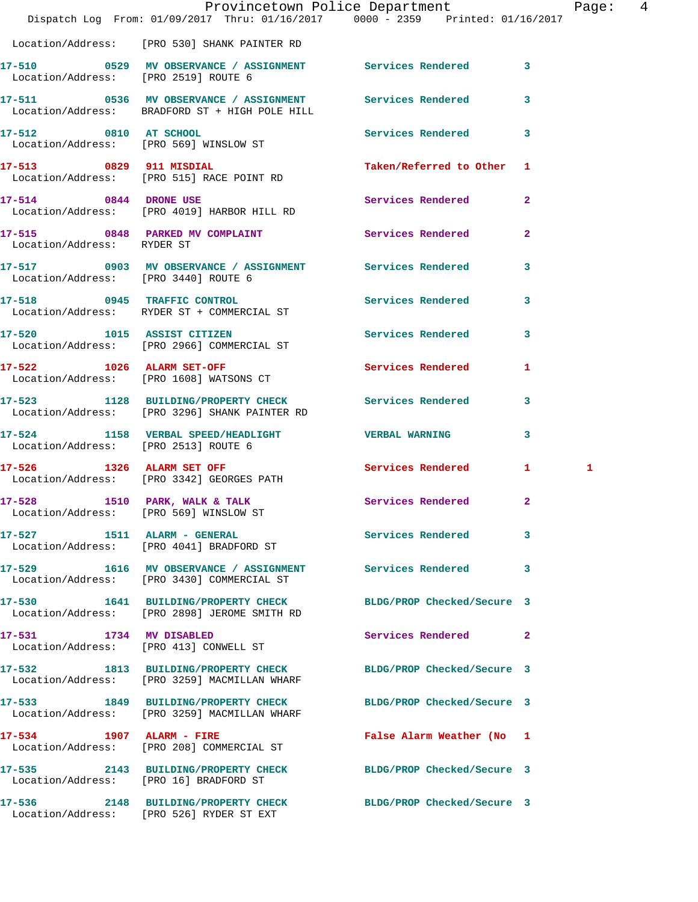|                                        | Dispatch Log From: 01/09/2017 Thru: 01/16/2017 0000 - 2359 Printed: 01/16/2017                                 | Provincetown Police Department | Page: 4           |
|----------------------------------------|----------------------------------------------------------------------------------------------------------------|--------------------------------|-------------------|
|                                        | Location/Address: [PRO 530] SHANK PAINTER RD                                                                   |                                |                   |
|                                        | 17-510 0529 MV OBSERVANCE / ASSIGNMENT Services Rendered 3<br>Location/Address: [PRO 2519] ROUTE 6             |                                |                   |
|                                        | 17-511 0536 MV OBSERVANCE / ASSIGNMENT Services Rendered 3<br>Location/Address: BRADFORD ST + HIGH POLE HILL   |                                |                   |
|                                        | 17-512 0810 AT SCHOOL<br>Location/Address: [PRO 569] WINSLOW ST                                                | Services Rendered 3            |                   |
|                                        | 17-513 0829 911 MISDIAL<br>Location/Address: [PRO 515] RACE POINT RD                                           | Taken/Referred to Other 1      |                   |
|                                        | 17-514 0844 DRONE USE<br>Location/Address: [PRO 4019] HARBOR HILL RD                                           | Services Rendered 2            |                   |
| Location/Address: RYDER ST             | 17-515 0848 PARKED MV COMPLAINT                                                                                | Services Rendered              | $\mathbf{2}$      |
| Location/Address: [PRO 3440] ROUTE 6   | 17-517 0903 MV OBSERVANCE / ASSIGNMENT Services Rendered 3                                                     |                                |                   |
|                                        | 17-518 0945 TRAFFIC CONTROL<br>Location/Address: RYDER ST + COMMERCIAL ST                                      | Services Rendered              | 3                 |
|                                        | 17-520 1015 ASSIST CITIZEN<br>Location/Address: [PRO 2966] COMMERCIAL ST                                       | Services Rendered 3            |                   |
|                                        | 17-522 1026 ALARM SET-OFF<br>Location/Address: [PRO 1608] WATSONS CT                                           | Services Rendered              | 1                 |
|                                        | 17-523 1128 BUILDING/PROPERTY CHECK Services Rendered 3<br>Location/Address: [PRO 3296] SHANK PAINTER RD       |                                |                   |
|                                        | 17-524 1158 VERBAL SPEED/HEADLIGHT VERBAL WARNING<br>Location/Address: [PRO 2513] ROUTE 6                      |                                | 3                 |
|                                        | 17-526 1326 ALARM SET OFF<br>Location/Address: [PRO 3342] GEORGES PATH                                         | Services Rendered              | $\mathbf{1}$<br>1 |
| Location/Address: [PRO 569] WINSLOW ST | 17-528 1510 PARK, WALK & TALK                                                                                  | Services Rendered              | $\mathbf{2}$      |
|                                        | Location/Address: [PRO 4041] BRADFORD ST                                                                       | Services Rendered              | 3                 |
|                                        | 17-529 1616 MV OBSERVANCE / ASSIGNMENT Services Rendered<br>Location/Address: [PRO 3430] COMMERCIAL ST         |                                | 3                 |
|                                        | 17-530 1641 BUILDING/PROPERTY CHECK BLDG/PROP Checked/Secure 3<br>Location/Address: [PRO 2898] JEROME SMITH RD |                                |                   |
|                                        | 17-531 1734 MV DISABLED<br>Location/Address: [PRO 413] CONWELL ST                                              | Services Rendered 2            |                   |
|                                        | 17-532 1813 BUILDING/PROPERTY CHECK BLDG/PROP Checked/Secure 3<br>Location/Address: [PRO 3259] MACMILLAN WHARF |                                |                   |
|                                        | 17-533 1849 BUILDING/PROPERTY CHECK BLDG/PROP Checked/Secure 3<br>Location/Address: [PRO 3259] MACMILLAN WHARF |                                |                   |
| 17-534 1907 ALARM - FIRE               | Location/Address: [PRO 208] COMMERCIAL ST                                                                      | False Alarm Weather (No 1      |                   |
|                                        | 17-535 2143 BUILDING/PROPERTY CHECK BLDG/PROP Checked/Secure 3<br>Location/Address: [PRO 16] BRADFORD ST       |                                |                   |
|                                        | 17-536 2148 BUILDING/PROPERTY CHECK                                                                            | BLDG/PROP Checked/Secure 3     |                   |

Location/Address: [PRO 526] RYDER ST EXT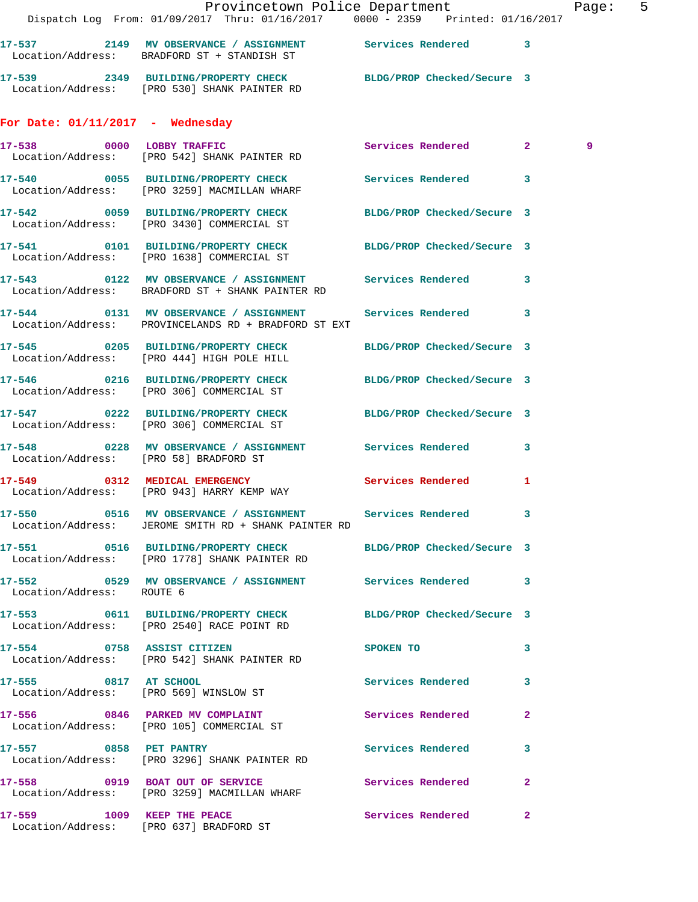|                                    | Dispatch Log From: 01/09/2017 Thru: 01/16/2017 0000 - 2359 Printed: 01/16/2017                                     | Provincetown Police Department |   | Page: 5 |  |
|------------------------------------|--------------------------------------------------------------------------------------------------------------------|--------------------------------|---|---------|--|
|                                    | 17-537 2149 MV OBSERVANCE / ASSIGNMENT Services Rendered 3<br>Location/Address: BRADFORD ST + STANDISH ST          |                                |   |         |  |
|                                    | 17-539 2349 BUILDING/PROPERTY CHECK BLDG/PROP Checked/Secure 3<br>Location/Address: [PRO 530] SHANK PAINTER RD     |                                |   |         |  |
| For Date: $01/11/2017$ - Wednesday |                                                                                                                    |                                |   |         |  |
|                                    | 17-538 0000 LOBBY TRAFFIC Services Rendered 2<br>Location/Address: [PRO 542] SHANK PAINTER RD                      |                                |   | 9       |  |
|                                    | 17-540 0055 BUILDING/PROPERTY CHECK Services Rendered 3<br>Location/Address: [PRO 3259] MACMILLAN WHARF            |                                |   |         |  |
|                                    | 17-542 0059 BUILDING/PROPERTY CHECK BLDG/PROP Checked/Secure 3<br>  Location/Address: [PRO 3430] COMMERCIAL ST     |                                |   |         |  |
|                                    | 17-541 0101 BUILDING/PROPERTY CHECK BLDG/PROP Checked/Secure 3<br>Location/Address: [PRO 1638] COMMERCIAL ST       |                                |   |         |  |
|                                    | 17-543 0122 MV OBSERVANCE / ASSIGNMENT Services Rendered 3<br>Location/Address: BRADFORD ST + SHANK PAINTER RD     |                                |   |         |  |
|                                    | 17-544 0131 MV OBSERVANCE / ASSIGNMENT Services Rendered 3<br>Location/Address: PROVINCELANDS RD + BRADFORD ST EXT |                                |   |         |  |
|                                    | 17-545 0205 BUILDING/PROPERTY CHECK<br>Location/Address: [PRO 444] HIGH POLE HILL                                  | BLDG/PROP Checked/Secure 3     |   |         |  |
|                                    | 17-546 0216 BUILDING/PROPERTY CHECK BLDG/PROP Checked/Secure 3<br>Location/Address: [PRO 306] COMMERCIAL ST        |                                |   |         |  |
|                                    | 17-547 0222 BUILDING/PROPERTY CHECK BLDG/PROP Checked/Secure 3<br>Location/Address: [PRO 306] COMMERCIAL ST        |                                |   |         |  |
|                                    | 17-548 0228 MV OBSERVANCE / ASSIGNMENT Services Rendered 3<br>Location/Address: [PRO 58] BRADFORD ST               |                                |   |         |  |
|                                    | 17-549 0312 MEDICAL EMERGENCY Services Rendered 1<br>Location/Address: [PRO 943] HARRY KEMP WAY                    |                                |   |         |  |
|                                    | 17-550 0516 MV OBSERVANCE / ASSIGNMENT Services Rendered 3<br>Location/Address: JEROME SMITH RD + SHANK PAINTER RD |                                |   |         |  |
|                                    | 17-551 0516 BUILDING/PROPERTY CHECK BLDG/PROP Checked/Secure 3<br>Location/Address: [PRO 1778] SHANK PAINTER RD    |                                |   |         |  |
| Location/Address: ROUTE 6          | 17-552 6529 MV OBSERVANCE / ASSIGNMENT Services Rendered 3                                                         |                                |   |         |  |
|                                    | 17-553 0611 BUILDING/PROPERTY CHECK BLDG/PROP Checked/Secure 3<br>Location/Address: [PRO 2540] RACE POINT RD       |                                |   |         |  |
|                                    | 17-554 0758 ASSIST CITIZEN<br>Location/Address: [PRO 542] SHANK PAINTER RD                                         | <b>SPOKEN TO</b>               | 3 |         |  |
|                                    | 17-555 0817 AT SCHOOL<br>Location/Address: [PRO 569] WINSLOW ST                                                    | Services Rendered 3            |   |         |  |
|                                    | 17-556 0846 PARKED MV COMPLAINT<br>Location/Address: [PRO 105] COMMERCIAL ST                                       | Services Rendered 2            |   |         |  |
|                                    | 17-557 0858 PET PANTRY<br>Location/Address: [PRO 3296] SHANK PAINTER RD                                            | Services Rendered 3            |   |         |  |
|                                    | 17-558 0919 BOAT OUT OF SERVICE Services Rendered 2<br>Location/Address: [PRO 3259] MACMILLAN WHARF                |                                |   |         |  |
|                                    | 17-559 1009 KEEP THE PEACE<br>Location/Address: [PRO 637] BRADFORD ST                                              | Services Rendered 2            |   |         |  |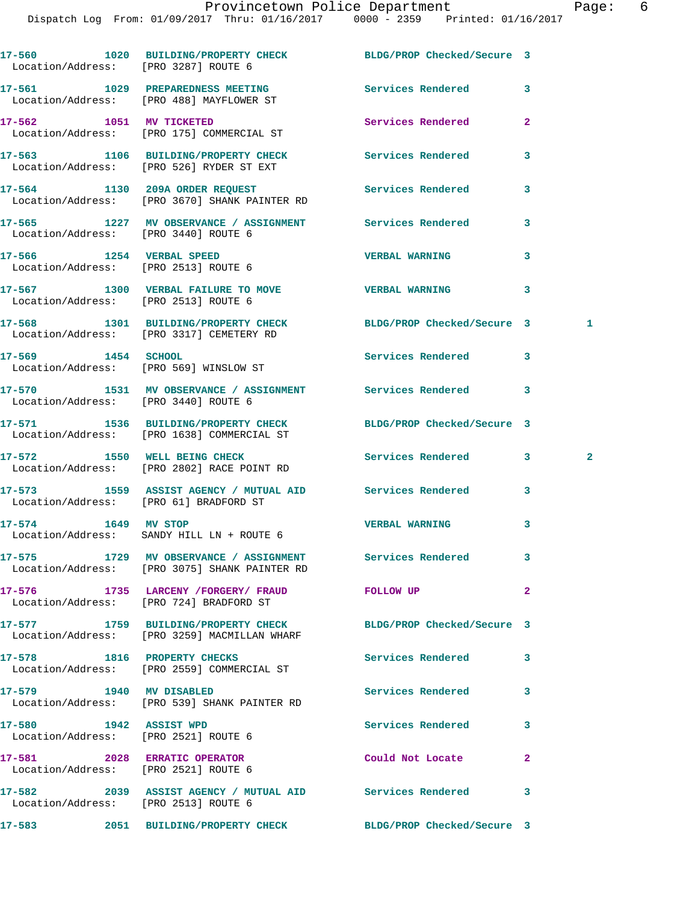|                                                                      | 17-560 1020 BUILDING/PROPERTY CHECK BLDG/PROP Checked/Secure 3<br>Location/Address: [PRO 3287] ROUTE 6         |                          |                |              |
|----------------------------------------------------------------------|----------------------------------------------------------------------------------------------------------------|--------------------------|----------------|--------------|
|                                                                      | 17-561 1029 PREPAREDNESS MEETING<br>Location/Address: [PRO 488] MAYFLOWER ST                                   | Services Rendered        | 3              |              |
|                                                                      | 17-562 1051 MV TICKETED<br>Location/Address: [PRO 175] COMMERCIAL ST                                           | Services Rendered        | $\overline{a}$ |              |
|                                                                      | 17-563 1106 BUILDING/PROPERTY CHECK<br>Location/Address: [PRO 526] RYDER ST EXT                                | Services Rendered        | 3              |              |
|                                                                      | 17-564 1130 209A ORDER REQUEST<br>Location/Address: [PRO 3670] SHANK PAINTER RD                                | <b>Services Rendered</b> | 3              |              |
| Location/Address: [PRO 3440] ROUTE 6                                 | 17-565 1227 MV OBSERVANCE / ASSIGNMENT Services Rendered                                                       |                          | 3              |              |
| 17-566 1254 VERBAL SPEED<br>Location/Address: [PRO 2513] ROUTE 6     |                                                                                                                | <b>VERBAL WARNING</b>    | 3              |              |
| Location/Address: [PRO 2513] ROUTE 6                                 | 17-567 1300 VERBAL FAILURE TO MOVE VERBAL WARNING                                                              |                          | 3              |              |
|                                                                      | 17-568 1301 BUILDING/PROPERTY CHECK BLDG/PROP Checked/Secure 3<br>Location/Address: [PRO 3317] CEMETERY RD     |                          |                | 1            |
| 17-569 1454 SCHOOL                                                   | Location/Address: [PRO 569] WINSLOW ST                                                                         | Services Rendered        | 3              |              |
| Location/Address: [PRO 3440] ROUTE 6                                 | 17-570 1531 MV OBSERVANCE / ASSIGNMENT Services Rendered                                                       |                          | 3              |              |
|                                                                      | 17-571 1536 BUILDING/PROPERTY CHECK BLDG/PROP Checked/Secure 3<br>Location/Address: [PRO 1638] COMMERCIAL ST   |                          |                |              |
|                                                                      | 17-572 1550 WELL BEING CHECK<br>Location/Address: [PRO 2802] RACE POINT RD                                     | Services Rendered        | 3              | $\mathbf{2}$ |
|                                                                      | 17-573 1559 ASSIST AGENCY / MUTUAL AID Services Rendered<br>Location/Address: [PRO 61] BRADFORD ST             |                          | 3              |              |
| 17-574 1649 MV STOP                                                  | Location/Address: SANDY HILL LN + ROUTE 6                                                                      | <b>VERBAL WARNING</b>    | 3              |              |
|                                                                      | 17-575 1729 MV OBSERVANCE / ASSIGNMENT Services Rendered<br>Location/Address: [PRO 3075] SHANK PAINTER RD      |                          |                |              |
|                                                                      | 17-576 1735 LARCENY / FORGERY / FRAUD FOLLOW UP<br>Location/Address: [PRO 724] BRADFORD ST                     |                          | $\overline{a}$ |              |
|                                                                      | 17-577 1759 BUILDING/PROPERTY CHECK BLDG/PROP Checked/Secure 3<br>Location/Address: [PRO 3259] MACMILLAN WHARF |                          |                |              |
|                                                                      | 17-578 1816 PROPERTY CHECKS<br>Location/Address: [PRO 2559] COMMERCIAL ST                                      | Services Rendered        | 3              |              |
| 17-579 1940 MV DISABLED                                              | Location/Address: [PRO 539] SHANK PAINTER RD                                                                   | Services Rendered        | 3              |              |
| 17-580 1942 ASSIST WPD<br>Location/Address: [PRO 2521] ROUTE 6       |                                                                                                                | Services Rendered        | 3              |              |
| 17-581 2028 ERRATIC OPERATOR<br>Location/Address: [PRO 2521] ROUTE 6 |                                                                                                                | Could Not Locate         | $\mathbf{2}$   |              |
| Location/Address: [PRO 2513] ROUTE 6                                 | 17-582 2039 ASSIST AGENCY / MUTUAL AID Services Rendered                                                       |                          | 3              |              |
|                                                                      | 17-583 2051 BUILDING/PROPERTY CHECK BLDG/PROP Checked/Secure 3                                                 |                          |                |              |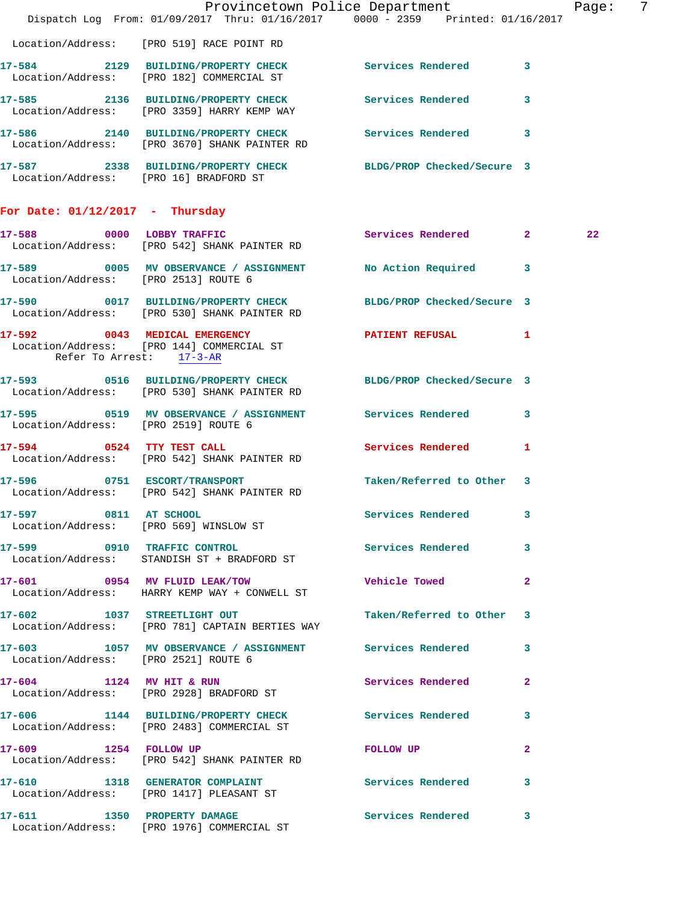|                                      |                                                                                                                | Provincetown Police Department<br>Dispatch Log From: 01/09/2017 Thru: 01/16/2017 0000 - 2359 Printed: 01/16/2017 | - 7<br>Page: |
|--------------------------------------|----------------------------------------------------------------------------------------------------------------|------------------------------------------------------------------------------------------------------------------|--------------|
|                                      | Location/Address: [PRO 519] RACE POINT RD                                                                      |                                                                                                                  |              |
|                                      | 17-584 2129 BUILDING/PROPERTY CHECK Services Rendered 3<br>Location/Address: [PRO 182] COMMERCIAL ST           |                                                                                                                  |              |
|                                      | 17-585 2136 BUILDING/PROPERTY CHECK Services Rendered 3<br>Location/Address: [PRO 3359] HARRY KEMP WAY         |                                                                                                                  |              |
|                                      | 17-586 2140 BUILDING/PROPERTY CHECK Services Rendered 3<br>Location/Address: [PRO 3670] SHANK PAINTER RD       |                                                                                                                  |              |
|                                      | 17-587 2338 BUILDING/PROPERTY CHECK BLDG/PROP Checked/Secure 3<br>Location/Address: [PRO 16] BRADFORD ST       |                                                                                                                  |              |
| For Date: $01/12/2017$ - Thursday    |                                                                                                                |                                                                                                                  |              |
|                                      | 17-588 0000 LOBBY TRAFFIC<br>Location/Address: [PRO 542] SHANK PAINTER RD                                      | Services Rendered 2                                                                                              | 22           |
| Location/Address: [PRO 2513] ROUTE 6 | 17-589 0005 MV OBSERVANCE / ASSIGNMENT No Action Required 3                                                    |                                                                                                                  |              |
|                                      | 17-590 0017 BUILDING/PROPERTY CHECK BLDG/PROP Checked/Secure 3<br>Location/Address: [PRO 530] SHANK PAINTER RD |                                                                                                                  |              |
| Refer To Arrest: 17-3-AR             | 17-592 0043 MEDICAL EMERGENCY<br>Location/Address: [PRO 144] COMMERCIAL ST                                     | PATIENT REFUSAL 1                                                                                                |              |
|                                      | 17-593 0516 BUILDING/PROPERTY CHECK BLDG/PROP Checked/Secure 3<br>Location/Address: [PRO 530] SHANK PAINTER RD |                                                                                                                  |              |
| Location/Address: [PRO 2519] ROUTE 6 | 17-595 0519 MV OBSERVANCE / ASSIGNMENT Services Rendered 3                                                     |                                                                                                                  |              |
| 17-594 0524 TTY TEST CALL            | Location/Address: [PRO 542] SHANK PAINTER RD                                                                   | Services Rendered 1                                                                                              |              |
|                                      | 17-596 0751 ESCORT/TRANSPORT<br>Location/Address: [PRO 542] SHANK PAINTER RD                                   | Taken/Referred to Other 3                                                                                        |              |
|                                      | 17-597 0811 AT SCHOOL<br>Location/Address: [PRO 569] WINSLOW ST                                                | Services Rendered 3                                                                                              |              |
|                                      | 17-599 0910 TRAFFIC CONTROL<br>Location/Address: STANDISH ST + BRADFORD ST                                     | Services Rendered 3                                                                                              |              |
|                                      | 17-601 0954 MV FLUID LEAK/TOW<br>Location/Address: HARRY KEMP WAY + CONWELL ST                                 | <b>Vehicle Towed State</b><br>$\mathbf{2}$                                                                       |              |
|                                      | 17-602 1037 STREETLIGHT OUT<br>Location/Address: [PRO 781] CAPTAIN BERTIES WAY                                 | Taken/Referred to Other 3                                                                                        |              |
| Location/Address: [PRO 2521] ROUTE 6 | 17-603 1057 MV OBSERVANCE / ASSIGNMENT Services Rendered 3                                                     |                                                                                                                  |              |
|                                      | 17-604 1124 MV HIT & RUN<br>Location/Address: [PRO 2928] BRADFORD ST                                           | Services Rendered<br>$\mathbf{2}$                                                                                |              |
|                                      | 17-606 1144 BUILDING/PROPERTY CHECK Services Rendered 3<br>Location/Address: [PRO 2483] COMMERCIAL ST          |                                                                                                                  |              |
|                                      | 17-609 1254 FOLLOW UP<br>Location/Address: [PRO 542] SHANK PAINTER RD                                          | FOLLOW UP NOTES<br>$\mathbf{2}$                                                                                  |              |
|                                      | 17-610 1318 GENERATOR COMPLAINT Services Rendered 3<br>Location/Address: [PRO 1417] PLEASANT ST                |                                                                                                                  |              |
|                                      | 17-611 1350 PROPERTY DAMAGE<br>Location/Address: [PRO 1976] COMMERCIAL ST                                      | Services Rendered 3                                                                                              |              |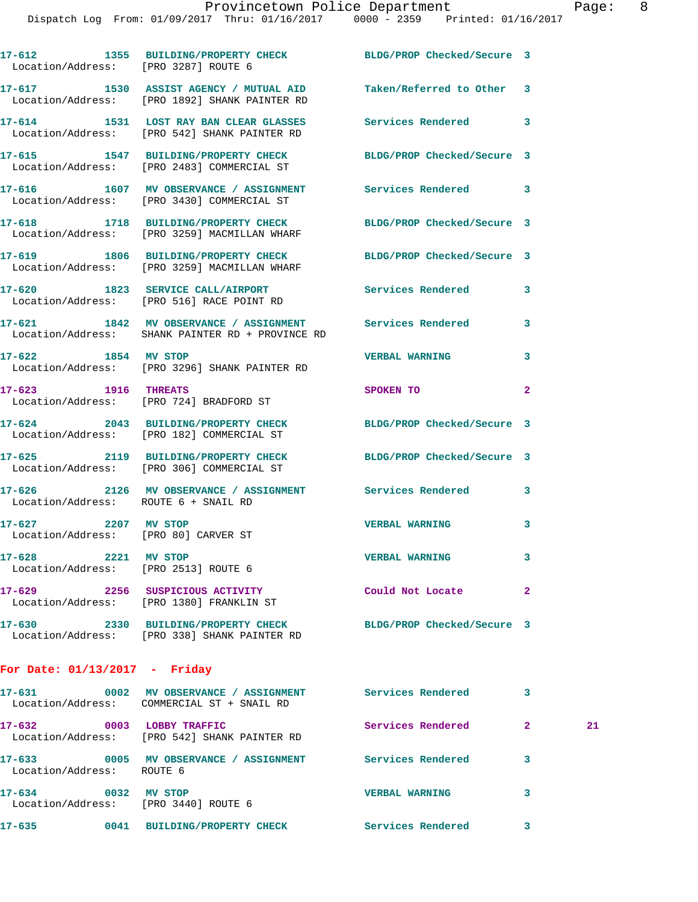| Location/Address: [PRO 3287] ROUTE 6                        | 17-612 1355 BUILDING/PROPERTY CHECK BLDG/PROP Checked/Secure 3                                    |                            |                |
|-------------------------------------------------------------|---------------------------------------------------------------------------------------------------|----------------------------|----------------|
|                                                             | 17-617 1530 ASSIST AGENCY / MUTUAL AID<br>Location/Address: [PRO 1892] SHANK PAINTER RD           | Taken/Referred to Other 3  |                |
|                                                             | 17-614 1531 LOST RAY BAN CLEAR GLASSES<br>Location/Address: [PRO 542] SHANK PAINTER RD            | Services Rendered 3        |                |
|                                                             | 17-615 1547 BUILDING/PROPERTY CHECK<br>Location/Address: [PRO 2483] COMMERCIAL ST                 | BLDG/PROP Checked/Secure 3 |                |
| 17-616                                                      | 1607 MV OBSERVANCE / ASSIGNMENT Services Rendered 3<br>Location/Address: [PRO 3430] COMMERCIAL ST |                            |                |
|                                                             | 17-618 1718 BUILDING/PROPERTY CHECK<br>Location/Address: [PRO 3259] MACMILLAN WHARF               | BLDG/PROP Checked/Secure 3 |                |
|                                                             | 17-619 1806 BUILDING/PROPERTY CHECK<br>Location/Address: [PRO 3259] MACMILLAN WHARF               | BLDG/PROP Checked/Secure 3 |                |
|                                                             | 17-620 1823 SERVICE CALL/AIRPORT<br>Location/Address: [PRO 516] RACE POINT RD                     | Services Rendered          | 3              |
|                                                             | 17-621 1842 MV OBSERVANCE / ASSIGNMENT<br>Location/Address: SHANK PAINTER RD + PROVINCE RD        | <b>Services Rendered</b>   | 3              |
| 17-622 1854 MV STOP                                         | Location/Address: [PRO 3296] SHANK PAINTER RD                                                     | <b>VERBAL WARNING</b>      | 3              |
| 17-623 1916 THREATS                                         | Location/Address: [PRO 724] BRADFORD ST                                                           | SPOKEN TO                  | $\overline{2}$ |
|                                                             | 17-624 2043 BUILDING/PROPERTY CHECK<br>Location/Address: [PRO 182] COMMERCIAL ST                  | BLDG/PROP Checked/Secure 3 |                |
|                                                             | 17-625 2119 BUILDING/PROPERTY CHECK<br>Location/Address: [PRO 306] COMMERCIAL ST                  | BLDG/PROP Checked/Secure 3 |                |
| Location/Address: ROUTE 6 + SNAIL RD                        | 17-626 2126 MV OBSERVANCE / ASSIGNMENT Services Rendered 3                                        |                            |                |
| 17-627 2207 MV STOP<br>Location/Address: [PRO 80] CARVER ST |                                                                                                   | <b>VERBAL WARNING</b>      | 3              |
| 17-628 2221 MV STOP<br>Location/Address: [PRO 2513] ROUTE 6 |                                                                                                   | <b>VERBAL WARNING</b>      | 3              |
|                                                             | 17-629 2256 SUSPICIOUS ACTIVITY<br>Location/Address: [PRO 1380] FRANKLIN ST                       | Could Not Locate           | $\mathbf{2}$   |
|                                                             | 17-630 2330 BUILDING/PROPERTY CHECK<br>Location/Address: [PRO 338] SHANK PAINTER RD               | BLDG/PROP Checked/Secure 3 |                |
| For Date: $01/13/2017$ - Friday                             |                                                                                                   |                            |                |
|                                                             |                                                                                                   |                            |                |

| 17–631<br>0002<br>Location/Address:                    | MV OBSERVANCE / ASSIGNMENT<br>COMMERCIAL ST + SNAIL RD        | Services Rendered     | 3 |    |
|--------------------------------------------------------|---------------------------------------------------------------|-----------------------|---|----|
| 17–632<br>0003                                         | LOBBY TRAFFIC<br>Location/Address: [PRO 542] SHANK PAINTER RD | Services Rendered     | 2 | 21 |
| 17-633<br>0005<br>Location/Address:                    | MV OBSERVANCE /<br><b>ASSIGNMENT</b><br>ROUTE 6               | Services Rendered     | 3 |    |
| 17-634<br>0032<br>Location/Address: [PRO 3440] ROUTE 6 | MV STOP                                                       | <b>VERBAL WARNING</b> | 3 |    |
| 17-635<br>0041                                         | <b>BUILDING/PROPERTY CHECK</b>                                | Services Rendered     |   |    |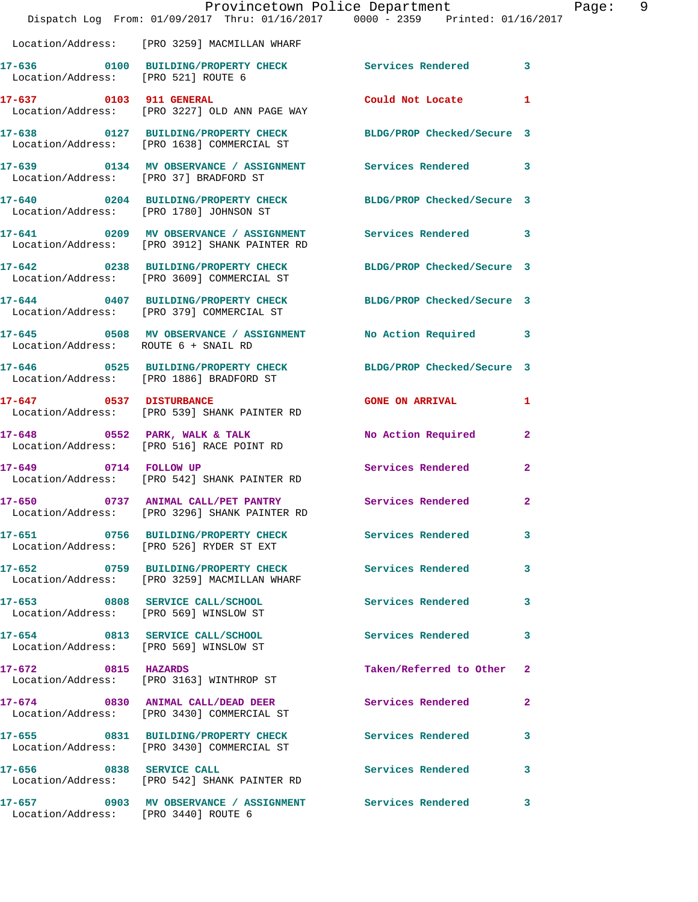|                                        | Provincetown Police Department<br>Dispatch Log From: 01/09/2017 Thru: 01/16/2017 0000 - 2359 Printed: 01/16/2017 |                            | Page: 9        |  |
|----------------------------------------|------------------------------------------------------------------------------------------------------------------|----------------------------|----------------|--|
|                                        | Location/Address: [PRO 3259] MACMILLAN WHARF                                                                     |                            |                |  |
| Location/Address: [PRO 521] ROUTE 6    | 17-636 6100 BUILDING/PROPERTY CHECK Services Rendered 3                                                          |                            |                |  |
|                                        | 17-637 0103 911 GENERAL<br>Location/Address: [PRO 3227] OLD ANN PAGE WAY                                         | Could Not Locate 1         |                |  |
|                                        | 17-638 0127 BUILDING/PROPERTY CHECK BLDG/PROP Checked/Secure 3<br>Location/Address: [PRO 1638] COMMERCIAL ST     |                            |                |  |
| Location/Address: [PRO 37] BRADFORD ST | 17-639 0134 MV OBSERVANCE / ASSIGNMENT Services Rendered 3                                                       |                            |                |  |
|                                        | 17-640 0204 BUILDING/PROPERTY CHECK BLDG/PROP Checked/Secure 3<br>Location/Address: [PRO 1780] JOHNSON ST        |                            |                |  |
|                                        | 17-641 0209 MV OBSERVANCE / ASSIGNMENT Services Rendered 3<br>Location/Address: [PRO 3912] SHANK PAINTER RD      |                            |                |  |
|                                        | 17-642 0238 BUILDING/PROPERTY CHECK<br>Location/Address: [PRO 3609] COMMERCIAL ST                                | BLDG/PROP Checked/Secure 3 |                |  |
|                                        | 17-644 0407 BUILDING/PROPERTY CHECK BLDG/PROP Checked/Secure 3<br>Location/Address: [PRO 379] COMMERCIAL ST      |                            |                |  |
| Location/Address: ROUTE 6 + SNAIL RD   | 17-645 0508 MV OBSERVANCE / ASSIGNMENT No Action Required 3                                                      |                            |                |  |
|                                        | 17-646 0525 BUILDING/PROPERTY CHECK BLDG/PROP Checked/Secure 3<br>Location/Address: [PRO 1886] BRADFORD ST       |                            |                |  |
|                                        | 17-647 0537 DISTURBANCE<br>Location/Address: [PRO 539] SHANK PAINTER RD                                          | GONE ON ARRIVAL 1          |                |  |
|                                        | 17-648 0552 PARK, WALK & TALK NO Action Required<br>Location/Address: [PRO 516] RACE POINT RD                    |                            | $\mathbf{2}$   |  |
| 17-649 0714 FOLLOW UP                  | Location/Address: [PRO 542] SHANK PAINTER RD                                                                     | Services Rendered 2        |                |  |
|                                        | Location/Address: [PRO 3296] SHANK PAINTER RD                                                                    |                            | $\mathbf{2}$   |  |
|                                        | 17-651 0756 BUILDING/PROPERTY CHECK Services Rendered<br>Location/Address: [PRO 526] RYDER ST EXT                |                            | 3              |  |
|                                        | 17-652 0759 BUILDING/PROPERTY CHECK Services Rendered<br>Location/Address: [PRO 3259] MACMILLAN WHARF            |                            | 3              |  |
|                                        | 17-653 0808 SERVICE CALL/SCHOOL<br>Location/Address: [PRO 569] WINSLOW ST                                        | Services Rendered          | 3              |  |
|                                        | 17-654 0813 SERVICE CALL/SCHOOL<br>Location/Address: [PRO 569] WINSLOW ST                                        | Services Rendered          | 3              |  |
| 17-672 0815 HAZARDS                    | Location/Address: [PRO 3163] WINTHROP ST                                                                         | Taken/Referred to Other 2  |                |  |
|                                        | 17-674 0830 ANIMAL CALL/DEAD DEER<br>Location/Address: [PRO 3430] COMMERCIAL ST                                  | Services Rendered          | $\overline{2}$ |  |
|                                        | 17-655 0831 BUILDING/PROPERTY CHECK Services Rendered<br>Location/Address: [PRO 3430] COMMERCIAL ST              |                            | 3              |  |
|                                        | 17-656 0838 SERVICE CALL<br>Location/Address: [PRO 542] SHANK PAINTER RD                                         | <b>Services Rendered</b>   | 3              |  |
| Location/Address: [PRO 3440] ROUTE 6   | 17-657 6903 MV OBSERVANCE / ASSIGNMENT Services Rendered                                                         |                            | $\mathbf{3}$   |  |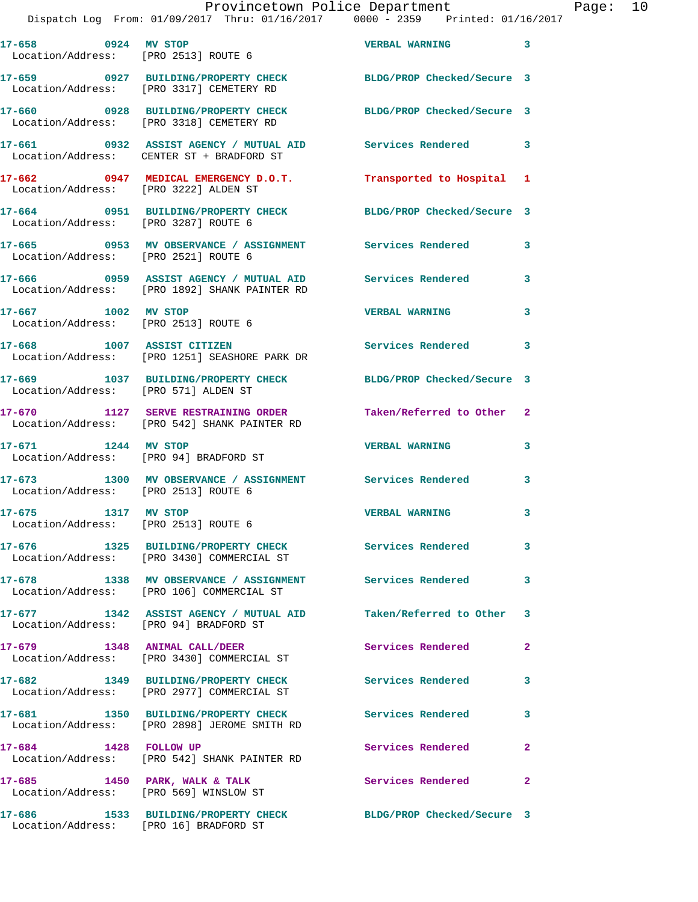## Provincetown Police Department Page: 10

Dispatch Log From: 01/09/2017 Thru: 01/16/2017 0000 - 2359 Printed: 01/16/2017

| 17-658 0924 MV STOP<br>Location/Address: [PRO 2513] ROUTE 6             |                                                                                                         | <b>VERBAL WARNING</b>      | $\overline{\mathbf{3}}$ |
|-------------------------------------------------------------------------|---------------------------------------------------------------------------------------------------------|----------------------------|-------------------------|
|                                                                         | 17-659 0927 BUILDING/PROPERTY CHECK<br>Location/Address: [PRO 3317] CEMETERY RD                         | BLDG/PROP Checked/Secure 3 |                         |
|                                                                         | 17-660 0928 BUILDING/PROPERTY CHECK<br>Location/Address: [PRO 3318] CEMETERY RD                         | BLDG/PROP Checked/Secure 3 |                         |
|                                                                         | 17-661 0932 ASSIST AGENCY / MUTUAL AID Services Rendered 3<br>Location/Address: CENTER ST + BRADFORD ST |                            |                         |
| Location/Address: [PRO 3222] ALDEN ST                                   | 17-662 0947 MEDICAL EMERGENCY D.O.T.                                                                    | Transported to Hospital 1  |                         |
| Location/Address: [PRO 3287] ROUTE 6                                    | 17-664 0951 BUILDING/PROPERTY CHECK BLDG/PROP Checked/Secure 3                                          |                            |                         |
| Location/Address: [PRO 2521] ROUTE 6                                    | 17-665 6953 MV OBSERVANCE / ASSIGNMENT Services Rendered                                                |                            | 3                       |
|                                                                         | 17-666 0959 ASSIST AGENCY / MUTUAL AID<br>Location/Address: [PRO 1892] SHANK PAINTER RD                 | <b>Services Rendered</b>   | 3                       |
| 17-667 1002 MV STOP<br>Location/Address: [PRO 2513] ROUTE 6             |                                                                                                         | <b>VERBAL WARNING</b>      | 3                       |
| 17-668 1007 ASSIST CITIZEN                                              | Location/Address: [PRO 1251] SEASHORE PARK DR                                                           | <b>Services Rendered</b>   | 3                       |
| Location/Address: [PRO 571] ALDEN ST                                    | 17-669 1037 BUILDING/PROPERTY CHECK                                                                     | BLDG/PROP Checked/Secure 3 |                         |
|                                                                         | 17-670 1127 SERVE RESTRAINING ORDER<br>Location/Address: [PRO 542] SHANK PAINTER RD                     | Taken/Referred to Other 2  |                         |
| 17-671 1244 MV STOP<br>Location/Address: [PRO 94] BRADFORD ST           |                                                                                                         | <b>VERBAL WARNING</b>      | 3                       |
| Location/Address: [PRO 2513] ROUTE 6                                    | 17-673 1300 MV OBSERVANCE / ASSIGNMENT Services Rendered                                                |                            | 3                       |
| 1317 MV STOP<br>17-675<br>Location/Address: [PRO 2513] ROUTE 6          |                                                                                                         | <b>VERBAL WARNING</b>      | 3                       |
| 17-676                                                                  | 1325 BUILDING/PROPERTY CHECK<br>Location/Address: [PRO 3430] COMMERCIAL ST                              | Services Rendered          | 3 <sup>7</sup>          |
|                                                                         | 17-678 1338 MV OBSERVANCE / ASSIGNMENT Services Rendered<br>Location/Address: [PRO 106] COMMERCIAL ST   |                            | 3                       |
| Location/Address: [PRO 94] BRADFORD ST                                  | 17-677 1342 ASSIST AGENCY / MUTUAL AID Taken/Referred to Other 3                                        |                            |                         |
| 17-679 1348 ANIMAL CALL/DEER                                            | Location/Address: [PRO 3430] COMMERCIAL ST                                                              | Services Rendered          | $\mathbf{2}$            |
|                                                                         | 17-682 1349 BUILDING/PROPERTY CHECK<br>Location/Address: [PRO 2977] COMMERCIAL ST                       | Services Rendered          | 3                       |
|                                                                         | 17-681 1350 BUILDING/PROPERTY CHECK<br>Location/Address: [PRO 2898] JEROME SMITH RD                     | Services Rendered          | 3                       |
| 17-684 1428 FOLLOW UP                                                   | Location/Address: [PRO 542] SHANK PAINTER RD                                                            | Services Rendered          | $\mathbf{2}$            |
| 17-685 1450 PARK, WALK & TALK<br>Location/Address: [PRO 569] WINSLOW ST |                                                                                                         | Services Rendered          | $\overline{2}$          |
|                                                                         | 17-686 1533 BUILDING/PROPERTY CHECK<br>Location/Address: [PRO 16] BRADFORD ST                           | BLDG/PROP Checked/Secure 3 |                         |
|                                                                         |                                                                                                         |                            |                         |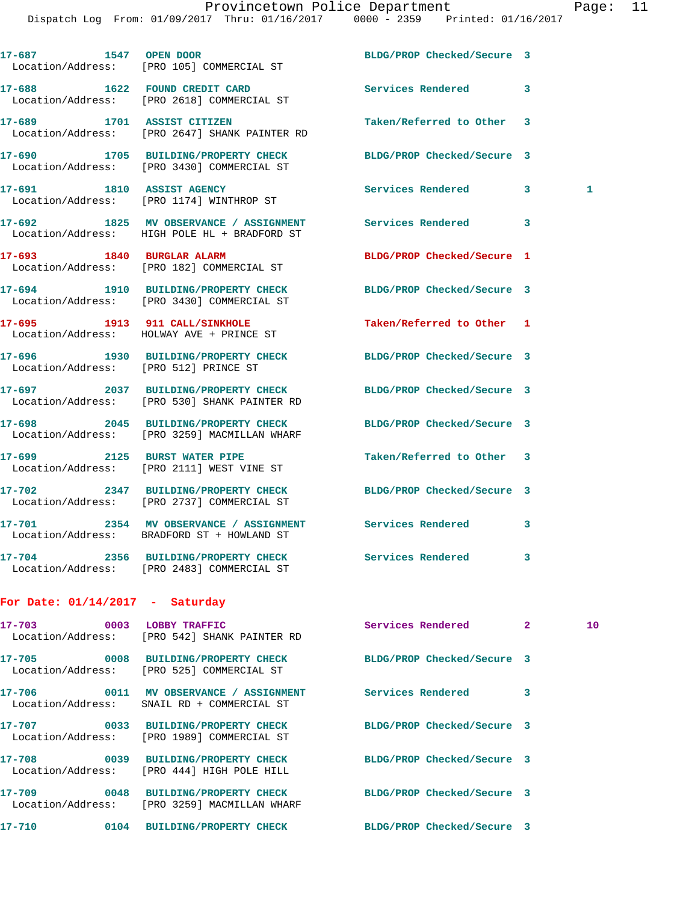| 17-687 1547 OPEN DOOR                 | Location/Address: [PRO 105] COMMERCIAL ST                                              | BLDG/PROP Checked/Secure 3 |   |   |
|---------------------------------------|----------------------------------------------------------------------------------------|----------------------------|---|---|
|                                       | 17-688 1622 FOUND CREDIT CARD<br>Location/Address: [PRO 2618] COMMERCIAL ST            | Services Rendered          | 3 |   |
| 17-689 1701 ASSIST CITIZEN            | Location/Address: [PRO 2647] SHANK PAINTER RD                                          | Taken/Referred to Other    | 3 |   |
| 17-690                                | 1705 BUILDING/PROPERTY CHECK<br>Location/Address: [PRO 3430] COMMERCIAL ST             | BLDG/PROP Checked/Secure 3 |   |   |
|                                       | 17-691 1810 ASSIST AGENCY<br>Location/Address: [PRO 1174] WINTHROP ST                  | Services Rendered          | 3 | 1 |
|                                       | 17-692 1825 MV OBSERVANCE / ASSIGNMENT<br>Location/Address: HIGH POLE HL + BRADFORD ST | Services Rendered          | 3 |   |
| 17-693 1840 BURGLAR ALARM             | Location/Address: [PRO 182] COMMERCIAL ST                                              | BLDG/PROP Checked/Secure 1 |   |   |
| 17-694                                | 1910 BUILDING/PROPERTY CHECK<br>Location/Address: [PRO 3430] COMMERCIAL ST             | BLDG/PROP Checked/Secure 3 |   |   |
|                                       | 17-695 1913 911 CALL/SINKHOLE<br>Location/Address: HOLWAY AVE + PRINCE ST              | Taken/Referred to Other 1  |   |   |
| Location/Address: [PRO 512] PRINCE ST | 17-696 1930 BUILDING/PROPERTY CHECK                                                    | BLDG/PROP Checked/Secure 3 |   |   |
|                                       | 17-697 2037 BUILDING/PROPERTY CHECK<br>Location/Address: [PRO 530] SHANK PAINTER RD    | BLDG/PROP Checked/Secure 3 |   |   |
|                                       | 17-698 2045 BUILDING/PROPERTY CHECK<br>Location/Address: [PRO 3259] MACMILLAN WHARF    | BLDG/PROP Checked/Secure 3 |   |   |
|                                       | 17-699 2125 BURST WATER PIPE<br>Location/Address: [PRO 2111] WEST VINE ST              | Taken/Referred to Other 3  |   |   |
|                                       | 17-702 2347 BUILDING/PROPERTY CHECK<br>Location/Address: [PRO 2737] COMMERCIAL ST      | BLDG/PROP Checked/Secure 3 |   |   |
| 17-701                                | 2354 MV OBSERVANCE / ASSIGNMENT<br>Location/Address: BRADFORD ST + HOWLAND ST          | Services Rendered          | 3 |   |
|                                       | 17-704 2356 BUILDING/PROPERTY CHECK<br>Location/Address: [PRO 2483] COMMERCIAL ST      | <b>Services Rendered</b>   | 3 |   |
|                                       |                                                                                        |                            |   |   |

## **For Date: 01/14/2017 - Saturday**

| 17-703 0003    | LOBBY TRAFFIC<br>Location/Address: [PRO 542] SHANK PAINTER RD                     | Services Rendered          | $\overline{2}$ | 10 |
|----------------|-----------------------------------------------------------------------------------|----------------------------|----------------|----|
| 17-705         | 0008 BUILDING/PROPERTY CHECK<br>Location/Address: [PRO 525] COMMERCIAL ST         | BLDG/PROP Checked/Secure 3 |                |    |
| 17-706 0011    | MV OBSERVANCE / ASSIGNMENT<br>Location/Address: SNAIL RD + COMMERCIAL ST          | <b>Services Rendered</b>   | 3              |    |
|                | Location/Address: [PRO 1989] COMMERCIAL ST                                        | BLDG/PROP Checked/Secure 3 |                |    |
|                | 17-708 0039 BUILDING/PROPERTY CHECK<br>Location/Address: [PRO 444] HIGH POLE HILL | BLDG/PROP Checked/Secure 3 |                |    |
| 17-709         | 0048 BUILDING/PROPERTY CHECK<br>Location/Address: [PRO 3259] MACMILLAN WHARF      | BLDG/PROP Checked/Secure 3 |                |    |
| 17-710<br>0104 | BUILDING/PROPERTY CHECK                                                           | BLDG/PROP Checked/Secure 3 |                |    |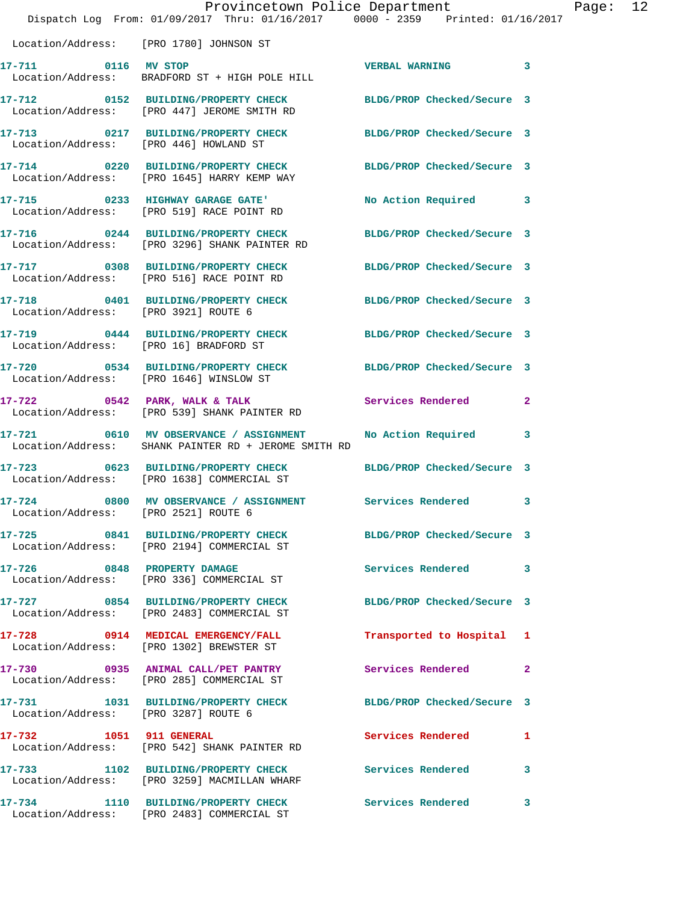|                                      | Provincetown Police Department<br>Dispatch Log From: 01/09/2017 Thru: 01/16/2017 0000 - 2359 Printed: 01/16/2017 |                            | Page: 12     |  |
|--------------------------------------|------------------------------------------------------------------------------------------------------------------|----------------------------|--------------|--|
|                                      | Location/Address: [PRO 1780] JOHNSON ST                                                                          |                            |              |  |
| 17-711 0116 MV STOP                  | Location/Address: BRADFORD ST + HIGH POLE HILL                                                                   | VERBAL WARNING 3           |              |  |
|                                      | 17-712 0152 BUILDING/PROPERTY CHECK BLDG/PROP Checked/Secure 3<br>Location/Address: [PRO 447] JEROME SMITH RD    |                            |              |  |
|                                      | 17-713 0217 BUILDING/PROPERTY CHECK BLDG/PROP Checked/Secure 3<br>Location/Address: [PRO 446] HOWLAND ST         |                            |              |  |
|                                      | 17-714 0220 BUILDING/PROPERTY CHECK BLDG/PROP Checked/Secure 3<br>Location/Address: [PRO 1645] HARRY KEMP WAY    |                            |              |  |
|                                      | 17-715 0233 HIGHWAY GARAGE GATE'<br>Location/Address: [PRO 519] RACE POINT RD                                    | No Action Required 3       |              |  |
|                                      | 17-716 0244 BUILDING/PROPERTY CHECK<br>Location/Address: [PRO 3296] SHANK PAINTER RD                             | BLDG/PROP Checked/Secure 3 |              |  |
|                                      | 17-717 0308 BUILDING/PROPERTY CHECK BLDG/PROP Checked/Secure 3<br>Location/Address: [PRO 516] RACE POINT RD      |                            |              |  |
| Location/Address: [PRO 3921] ROUTE 6 | 17-718 0401 BUILDING/PROPERTY CHECK BLDG/PROP Checked/Secure 3                                                   |                            |              |  |
|                                      | 17-719 0444 BUILDING/PROPERTY CHECK BLDG/PROP Checked/Secure 3<br>Location/Address: [PRO 16] BRADFORD ST         |                            |              |  |
|                                      | 17-720 0534 BUILDING/PROPERTY CHECK BLDG/PROP Checked/Secure 3<br>Location/Address: [PRO 1646] WINSLOW ST        |                            |              |  |
|                                      | 17-722 0542 PARK, WALK & TALK<br>Location/Address: [PRO 539] SHANK PAINTER RD                                    | Services Rendered 2        |              |  |
|                                      | 17-721 0610 MV OBSERVANCE / ASSIGNMENT<br>Location/Address: SHANK PAINTER RD + JEROME SMITH RD                   | No Action Required 3       |              |  |
|                                      | 17-723 0623 BUILDING/PROPERTY CHECK BLDG/PROP Checked/Secure 3<br>Location/Address: [PRO 1638] COMMERCIAL ST     |                            |              |  |
| Location/Address: [PRO 2521] ROUTE 6 | 17-724 0800 MV OBSERVANCE / ASSIGNMENT Services Rendered 3                                                       |                            |              |  |
|                                      | 17-725 0841 BUILDING/PROPERTY CHECK BLDG/PROP Checked/Secure 3<br>Location/Address: [PRO 2194] COMMERCIAL ST     |                            |              |  |
|                                      | 17-726 0848 PROPERTY DAMAGE<br>Location/Address: [PRO 336] COMMERCIAL ST                                         | Services Rendered 3        |              |  |
|                                      | 17-727 0854 BUILDING/PROPERTY CHECK BLDG/PROP Checked/Secure 3<br>Location/Address: [PRO 2483] COMMERCIAL ST     |                            |              |  |
|                                      | 17-728 0914 MEDICAL EMERGENCY/FALL<br>Location/Address: [PRO 1302] BREWSTER ST                                   | Transported to Hospital 1  |              |  |
|                                      | 17-730 0935 ANIMAL CALL/PET PANTRY<br>Location/Address: [PRO 285] COMMERCIAL ST                                  | Services Rendered 2        |              |  |
| Location/Address: [PRO 3287] ROUTE 6 | 17-731 1031 BUILDING/PROPERTY CHECK BLDG/PROP Checked/Secure 3                                                   |                            |              |  |
| 17-732 1051 911 GENERAL              | Location/Address: [PRO 542] SHANK PAINTER RD                                                                     | Services Rendered 1        |              |  |
|                                      | 17-733 1102 BUILDING/PROPERTY CHECK Services Rendered<br>Location/Address: [PRO 3259] MACMILLAN WHARF            |                            | 3            |  |
|                                      | 17-734 1110 BUILDING/PROPERTY CHECK<br>Location/Address: [PRO 2483] COMMERCIAL ST                                | Services Rendered          | $\mathbf{3}$ |  |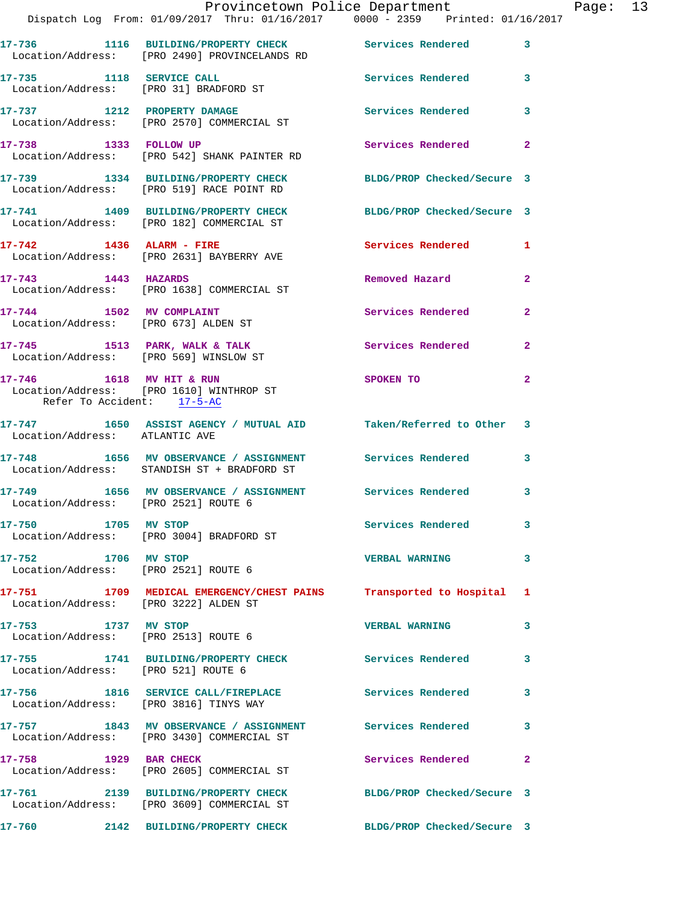|                                        | Dispatch Log From: 01/09/2017 Thru: 01/16/2017 0000 - 2359 Printed: 01/16/2017                               | Provincetown Police Department Page: 13 |                |  |
|----------------------------------------|--------------------------------------------------------------------------------------------------------------|-----------------------------------------|----------------|--|
|                                        | 17-736 1116 BUILDING/PROPERTY CHECK Services Rendered                                                        |                                         | $\mathbf{3}$   |  |
|                                        | Location/Address: [PRO 2490] PROVINCELANDS RD                                                                |                                         |                |  |
|                                        | 17-735 1118 SERVICE CALL 2001 Services Rendered 3<br>Location/Address: [PRO 31] BRADFORD ST                  |                                         |                |  |
|                                        | 17-737 1212 PROPERTY DAMAGE<br>Location/Address: [PRO 2570] COMMERCIAL ST                                    | Services Rendered                       | 3              |  |
|                                        | 17-738 1333 FOLLOW UP<br>Location/Address: [PRO 542] SHANK PAINTER RD                                        | Services Rendered                       | $\mathbf{2}$   |  |
|                                        | 17-739 1334 BUILDING/PROPERTY CHECK BLDG/PROP Checked/Secure 3<br>Location/Address: [PRO 519] RACE POINT RD  |                                         |                |  |
|                                        | 17-741 1409 BUILDING/PROPERTY CHECK BLDG/PROP Checked/Secure 3<br>Location/Address: [PRO 182] COMMERCIAL ST  |                                         |                |  |
|                                        | 17-742 1436 ALARM - FIRE<br>Location/Address: [PRO 2631] BAYBERRY AVE                                        | Services Rendered 1                     |                |  |
|                                        | 17-743 1443 HAZARDS<br>Location/Address: [PRO 1638] COMMERCIAL ST                                            | Removed Hazard                          | $\mathbf{2}$   |  |
|                                        | 17-744 1502 MV COMPLAINT<br>Location/Address: [PRO 673] ALDEN ST                                             | Services Rendered 2                     |                |  |
| Location/Address: [PRO 569] WINSLOW ST | 17-745 1513 PARK, WALK & TALK 1999 Services Rendered                                                         |                                         | $\mathbf{2}$   |  |
| Refer To Accident: 17-5-AC             | 17-746 1618 MV HIT & RUN<br>Location/Address: [PRO 1610] WINTHROP ST                                         | SPOKEN TO                               | $\overline{a}$ |  |
| Location/Address: ATLANTIC AVE         | 17-747 1650 ASSIST AGENCY / MUTUAL AID Taken/Referred to Other 3                                             |                                         |                |  |
|                                        | 17-748 1656 MV OBSERVANCE / ASSIGNMENT Services Rendered<br>Location/Address: STANDISH ST + BRADFORD ST      |                                         | 3              |  |
| Location/Address: [PRO 2521] ROUTE 6   | 17-749 1656 MV OBSERVANCE / ASSIGNMENT Services Rendered                                                     |                                         | 3              |  |
| 17-750 1705 MV STOP                    | Location/Address: [PRO 3004] BRADFORD ST                                                                     | Services Rendered 3                     |                |  |
| 17-752 1706 MV STOP                    | Location/Address: [PRO 2521] ROUTE 6                                                                         | <b>VERBAL WARNING</b>                   | 3              |  |
| Location/Address: [PRO 3222] ALDEN ST  | 17-751 1709 MEDICAL EMERGENCY/CHEST PAINS Transported to Hospital 1                                          |                                         |                |  |
| 17-753 1737 MV STOP                    | Location/Address: [PRO 2513] ROUTE 6                                                                         | <b>VERBAL WARNING</b>                   | 3              |  |
| Location/Address: [PRO 521] ROUTE 6    | 17-755 1741 BUILDING/PROPERTY CHECK Services Rendered 3                                                      |                                         |                |  |
|                                        | 17-756 1816 SERVICE CALL/FIREPLACE Services Rendered<br>Location/Address: [PRO 3816] TINYS WAY               |                                         | 3              |  |
|                                        | 17-757 1843 MV OBSERVANCE / ASSIGNMENT Services Rendered<br>Location/Address: [PRO 3430] COMMERCIAL ST       |                                         | 3              |  |
|                                        | 17-758 1929 BAR CHECK<br>Location/Address: [PRO 2605] COMMERCIAL ST                                          | Services Rendered                       | $\mathbf{2}$   |  |
|                                        | 17-761 2139 BUILDING/PROPERTY CHECK BLDG/PROP Checked/Secure 3<br>Location/Address: [PRO 3609] COMMERCIAL ST |                                         |                |  |
| 17-760                                 | 2142 BUILDING/PROPERTY CHECK                                                                                 | BLDG/PROP Checked/Secure 3              |                |  |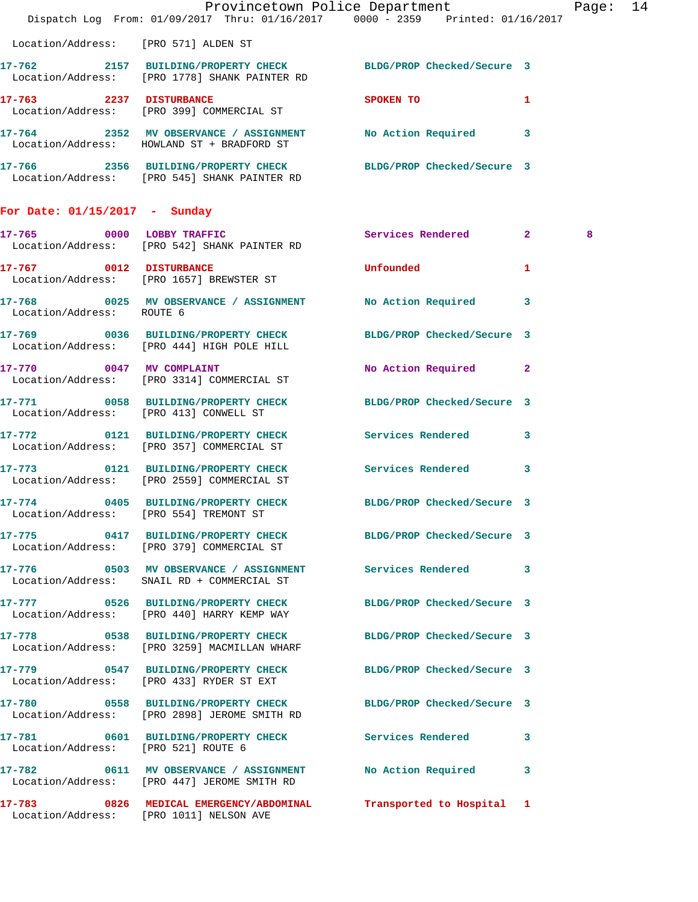|                                      | Dispatch Log From: 01/09/2017 Thru: 01/16/2017 0000 - 2359 Printed: 01/16/2017                                  | Provincetown Police Department                                                                                  |              | Page: 14 |  |
|--------------------------------------|-----------------------------------------------------------------------------------------------------------------|-----------------------------------------------------------------------------------------------------------------|--------------|----------|--|
| Location/Address: [PRO 571] ALDEN ST |                                                                                                                 |                                                                                                                 |              |          |  |
|                                      | 17-762 2157 BUILDING/PROPERTY CHECK BLDG/PROP Checked/Secure 3<br>Location/Address: [PRO 1778] SHANK PAINTER RD |                                                                                                                 |              |          |  |
|                                      | 17-763 2237 DISTURBANCE<br>Location/Address: [PRO 399] COMMERCIAL ST                                            | SPOKEN TO THE STRIKE STRIKE STRIKE STRIKE STRIKE STRIKE STRIKE STRIKE STRIKE STRIKE STRIKE STRIKE STRIKE STRIKE | $\mathbf{1}$ |          |  |
|                                      | 17-764 2352 MV OBSERVANCE / ASSIGNMENT No Action Required 3<br>Location/Address: HOWLAND ST + BRADFORD ST       |                                                                                                                 |              |          |  |
|                                      | 17-766 2356 BUILDING/PROPERTY CHECK BLDG/PROP Checked/Secure 3<br>Location/Address: [PRO 545] SHANK PAINTER RD  |                                                                                                                 |              |          |  |
| For Date: $01/15/2017$ - Sunday      |                                                                                                                 |                                                                                                                 |              |          |  |
|                                      | 17-765 0000 LOBBY TRAFFIC<br>Location/Address: [PRO 542] SHANK PAINTER RD                                       | Services Rendered 2                                                                                             |              | 8        |  |
|                                      | 17-767 0012 DISTURBANCE<br>Location/Address: [PRO 1657] BREWSTER ST                                             | <b>Unfounded United</b>                                                                                         | $\mathbf{1}$ |          |  |
| Location/Address: ROUTE 6            | 17-768 0025 MV OBSERVANCE / ASSIGNMENT No Action Required 3                                                     |                                                                                                                 |              |          |  |
|                                      | 17-769 0036 BUILDING/PROPERTY CHECK BLDG/PROP Checked/Secure 3<br>Location/Address: [PRO 444] HIGH POLE HILL    |                                                                                                                 |              |          |  |
|                                      | 17-770 0047 MV COMPLAINT<br>Location/Address: [PRO 3314] COMMERCIAL ST                                          | No Action Required 2                                                                                            |              |          |  |
|                                      | 17-771 0058 BUILDING/PROPERTY CHECK BLDG/PROP Checked/Secure 3<br>Location/Address: [PRO 413] CONWELL ST        |                                                                                                                 |              |          |  |
|                                      | 17-772 0121 BUILDING/PROPERTY CHECK Services Rendered 3<br>Location/Address: [PRO 357] COMMERCIAL ST            |                                                                                                                 |              |          |  |
|                                      | 17-773 0121 BUILDING/PROPERTY CHECK Services Rendered 3<br>Location/Address: [PRO 2559] COMMERCIAL ST           |                                                                                                                 |              |          |  |
|                                      | 17-774 0405 BUILDING/PROPERTY CHECK BLDG/PROP Checked/Secure 3<br>Location/Address: [PRO 554] TREMONT ST        |                                                                                                                 |              |          |  |
|                                      | 17-775 0417 BUILDING/PROPERTY CHECK BLDG/PROP Checked/Secure 3<br>Location/Address: [PRO 379] COMMERCIAL ST     |                                                                                                                 |              |          |  |
|                                      | 17-776 		 0503 MV OBSERVANCE / ASSIGNMENT Services Rendered 3<br>Location/Address: SNAIL RD + COMMERCIAL ST     |                                                                                                                 |              |          |  |
|                                      | 17-777 0526 BUILDING/PROPERTY CHECK BLDG/PROP Checked/Secure 3<br>Location/Address: [PRO 440] HARRY KEMP WAY    |                                                                                                                 |              |          |  |
|                                      | 17-778 0538 BUILDING/PROPERTY CHECK BLDG/PROP Checked/Secure 3<br>Location/Address: [PRO 3259] MACMILLAN WHARF  |                                                                                                                 |              |          |  |
|                                      | 17-779 0547 BUILDING/PROPERTY CHECK BLDG/PROP Checked/Secure 3<br>Location/Address: [PRO 433] RYDER ST EXT      |                                                                                                                 |              |          |  |
|                                      | 17-780 0558 BUILDING/PROPERTY CHECK BLDG/PROP Checked/Secure 3<br>Location/Address: [PRO 2898] JEROME SMITH RD  |                                                                                                                 |              |          |  |
| Location/Address: [PRO 521] ROUTE 6  | 17-781 0601 BUILDING/PROPERTY CHECK Services Rendered 3                                                         |                                                                                                                 |              |          |  |
|                                      | 17-782 0611 MV OBSERVANCE / ASSIGNMENT No Action Required 3<br>Location/Address: [PRO 447] JEROME SMITH RD      |                                                                                                                 |              |          |  |
|                                      | 17-783 0826 MEDICAL EMERGENCY/ABDOMINAL Transported to Hospital 1<br>Location/Address: [PRO 1011] NELSON AVE    |                                                                                                                 |              |          |  |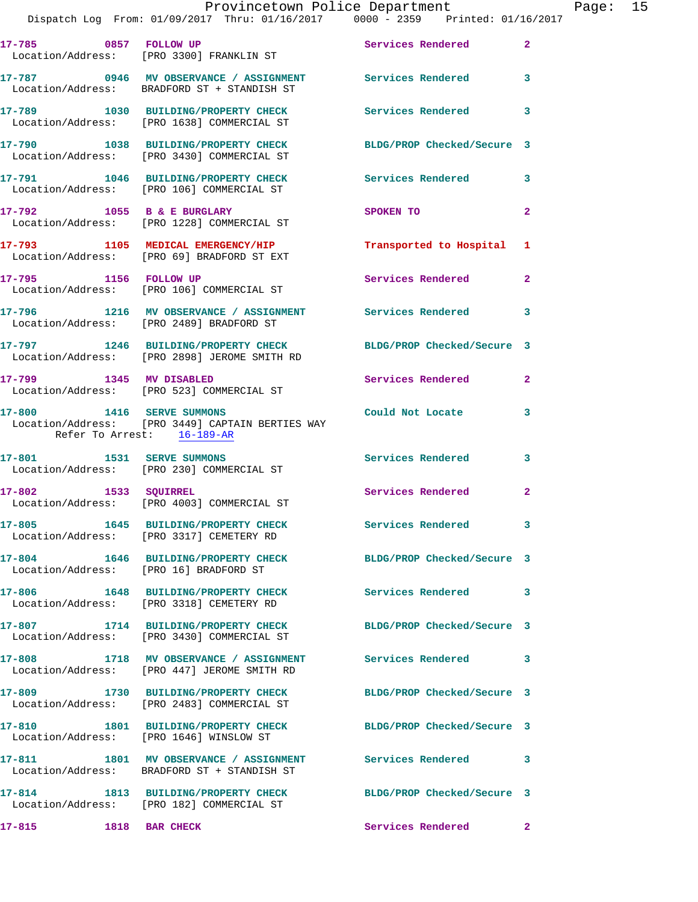|                           | Dispatch Log From: 01/09/2017 Thru: 01/16/2017 0000 - 2359 Printed: 01/16/2017                                 |                            |                |
|---------------------------|----------------------------------------------------------------------------------------------------------------|----------------------------|----------------|
|                           | 17-785 0857 FOLLOW UP<br>Location/Address: [PRO 3300] FRANKLIN ST                                              | Services Rendered          | $\overline{a}$ |
|                           | 17-787 0946 MV OBSERVANCE / ASSIGNMENT Services Rendered<br>Location/Address: BRADFORD ST + STANDISH ST        |                            | 3              |
|                           | 17-789 1030 BUILDING/PROPERTY CHECK Services Rendered<br>Location/Address: [PRO 1638] COMMERCIAL ST            |                            | 3              |
|                           | 17-790 1038 BUILDING/PROPERTY CHECK BLDG/PROP Checked/Secure 3<br>Location/Address: [PRO 3430] COMMERCIAL ST   |                            |                |
|                           | 17-791 1046 BUILDING/PROPERTY CHECK<br>Location/Address: [PRO 106] COMMERCIAL ST                               | <b>Services Rendered</b>   | 3              |
|                           | 17-792 1055 B & E BURGLARY<br>Location/Address: [PRO 1228] COMMERCIAL ST                                       | SPOKEN TO                  | $\mathbf{2}$   |
|                           | 17-793 1105 MEDICAL EMERGENCY/HIP<br>Location/Address: [PRO 69] BRADFORD ST EXT                                | Transported to Hospital    | 1              |
| 17-795 1156 FOLLOW UP     | Location/Address: [PRO 106] COMMERCIAL ST                                                                      | <b>Services Rendered</b>   | $\mathbf{2}$   |
|                           | 17-796 1216 MV OBSERVANCE / ASSIGNMENT Services Rendered<br>Location/Address: [PRO 2489] BRADFORD ST           |                            | 3              |
|                           | 17-797 1246 BUILDING/PROPERTY CHECK BLDG/PROP Checked/Secure 3<br>Location/Address: [PRO 2898] JEROME SMITH RD |                            |                |
| 17-799 1345 MV DISABLED   | Location/Address: [PRO 523] COMMERCIAL ST                                                                      | <b>Services Rendered</b>   | $\overline{a}$ |
|                           | 17-800 1416 SERVE SUMMONS<br>Location/Address: [PRO 3449] CAPTAIN BERTIES WAY<br>Refer To Arrest: 16-189-AR    | Could Not Locate           | 3              |
| 17-801 1531 SERVE SUMMONS | Location/Address: [PRO 230] COMMERCIAL ST                                                                      | <b>Services Rendered</b>   | 3              |
|                           | 17-802 1533 SQUIRREL<br>Location/Address: [PRO 4003] COMMERCIAL ST                                             | <b>Services Rendered</b>   | $\mathbf{2}$   |
|                           | 17-805 1645 BUILDING/PROPERTY CHECK<br>Location/Address: [PRO 3317] CEMETERY RD                                | <b>Services Rendered</b>   |                |
|                           | 17-804 1646 BUILDING/PROPERTY CHECK<br>Location/Address: [PRO 16] BRADFORD ST                                  | BLDG/PROP Checked/Secure 3 |                |
|                           | 17-806 1648 BUILDING/PROPERTY CHECK<br>Location/Address: [PRO 3318] CEMETERY RD                                | <b>Services Rendered</b>   | 3              |
|                           | 17-807 1714 BUILDING/PROPERTY CHECK<br>Location/Address: [PRO 3430] COMMERCIAL ST                              | BLDG/PROP Checked/Secure 3 |                |
| 17-808                    | 1718 MV OBSERVANCE / ASSIGNMENT Services Rendered<br>Location/Address: [PRO 447] JEROME SMITH RD               |                            | 3              |
|                           | 17-809 1730 BUILDING/PROPERTY CHECK<br>Location/Address: [PRO 2483] COMMERCIAL ST                              | BLDG/PROP Checked/Secure 3 |                |
| 17-810                    | 1801 BUILDING/PROPERTY CHECK BLDG/PROP Checked/Secure 3<br>Location/Address: [PRO 1646] WINSLOW ST             |                            |                |
|                           | 17-811 1801 MV OBSERVANCE / ASSIGNMENT Services Rendered<br>Location/Address: BRADFORD ST + STANDISH ST        |                            | 3              |
|                           | 17-814 1813 BUILDING/PROPERTY CHECK BLDG/PROP Checked/Secure 3<br>Location/Address: [PRO 182] COMMERCIAL ST    |                            |                |
| 17-815                    | 1818 BAR CHECK                                                                                                 | Services Rendered          | $\mathbf{2}$   |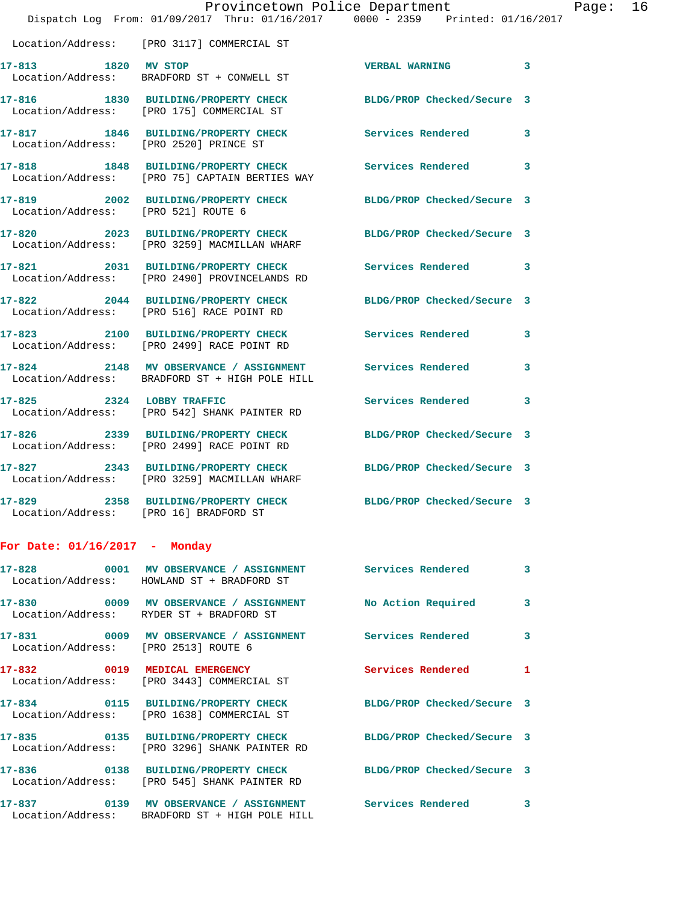|                                        | Provincetown Police Department<br>Dispatch Log From: 01/09/2017 Thru: 01/16/2017 0000 - 2359 Printed: 01/16/2017 |                            |   |
|----------------------------------------|------------------------------------------------------------------------------------------------------------------|----------------------------|---|
|                                        |                                                                                                                  |                            |   |
|                                        | Location/Address: [PRO 3117] COMMERCIAL ST                                                                       |                            |   |
| 17-813 1820 MV STOP                    | Location/Address: BRADFORD ST + CONWELL ST                                                                       | <b>VERBAL WARNING</b>      | 3 |
|                                        | 17-816 1830 BUILDING/PROPERTY CHECK BLDG/PROP Checked/Secure 3<br>Location/Address: [PRO 175] COMMERCIAL ST      |                            |   |
| Location/Address: [PRO 2520] PRINCE ST | 17-817 1846 BUILDING/PROPERTY CHECK                                                                              | <b>Services Rendered</b>   | 3 |
|                                        | 17-818 1848 BUILDING/PROPERTY CHECK Services Rendered<br>Location/Address: [PRO 75] CAPTAIN BERTIES WAY          |                            | 3 |
| Location/Address: [PRO 521] ROUTE 6    | 17-819 2002 BUILDING/PROPERTY CHECK                                                                              | BLDG/PROP Checked/Secure 3 |   |
|                                        | 17-820 2023 BUILDING/PROPERTY CHECK<br>Location/Address: [PRO 3259] MACMILLAN WHARF                              | BLDG/PROP Checked/Secure 3 |   |
|                                        | 17-821 2031 BUILDING/PROPERTY CHECK Services Rendered<br>Location/Address: [PRO 2490] PROVINCELANDS RD           |                            | 3 |
|                                        | 17-822 2044 BUILDING/PROPERTY CHECK<br>Location/Address: [PRO 516] RACE POINT RD                                 | BLDG/PROP Checked/Secure 3 |   |
|                                        | 17-823 2100 BUILDING/PROPERTY CHECK Services Rendered<br>Location/Address: [PRO 2499] RACE POINT RD              |                            | 3 |
|                                        | 17-824 2148 MV OBSERVANCE / ASSIGNMENT<br>Location/Address: BRADFORD ST + HIGH POLE HILL                         | Services Rendered          | 3 |
| 17-825 2324 LOBBY TRAFFIC              | Location/Address: [PRO 542] SHANK PAINTER RD                                                                     | <b>Services Rendered</b>   | 3 |
|                                        | 17-826 2339 BUILDING/PROPERTY CHECK BLDG/PROP Checked/Secure 3<br>Location/Address: [PRO 2499] RACE POINT RD     |                            |   |
|                                        | 17-827 2343 BUILDING/PROPERTY CHECK<br>Location/Address: [PRO 3259] MACMILLAN WHARF                              | BLDG/PROP Checked/Secure 3 |   |
| Location/Address: [PRO 16] BRADFORD ST | 17-829 2358 BUILDING/PROPERTY CHECK BLDG/PROP Checked/Secure 3                                                   |                            |   |
| For Date: $01/16/2017$ - Monday        |                                                                                                                  |                            |   |

|                                      | 17-828                0001     MV  OBSERVANCE  /  ASSIGNMENT                  Services  Rendered<br>Location/Address: HOWLAND ST + BRADFORD ST |                            | $\overline{3}$ |
|--------------------------------------|------------------------------------------------------------------------------------------------------------------------------------------------|----------------------------|----------------|
|                                      | 17-830                0009     MV OBSERVANCE / ASSIGNMENT             No Action Required<br>Location/Address: RYDER ST + BRADFORD ST           |                            | $\mathbf{3}$   |
| Location/Address: [PRO 2513] ROUTE 6 |                                                                                                                                                |                            | $\mathbf{3}$   |
|                                      | Location/Address: [PRO 3443] COMMERCIAL ST                                                                                                     | Services Rendered          | $\mathbf{1}$   |
|                                      | Location/Address: [PRO 1638] COMMERCIAL ST                                                                                                     | BLDG/PROP Checked/Secure 3 |                |
|                                      | 17-835 0135 BUILDING/PROPERTY CHECK<br>Location/Address: [PRO 3296] SHANK PAINTER RD                                                           | BLDG/PROP Checked/Secure 3 |                |
|                                      | Location/Address: [PRO 545] SHANK PAINTER RD                                                                                                   | BLDG/PROP Checked/Secure 3 |                |
|                                      | Location/Address: BRADFORD ST + HIGH POLE HILL                                                                                                 | <b>Services Rendered</b>   | 3              |